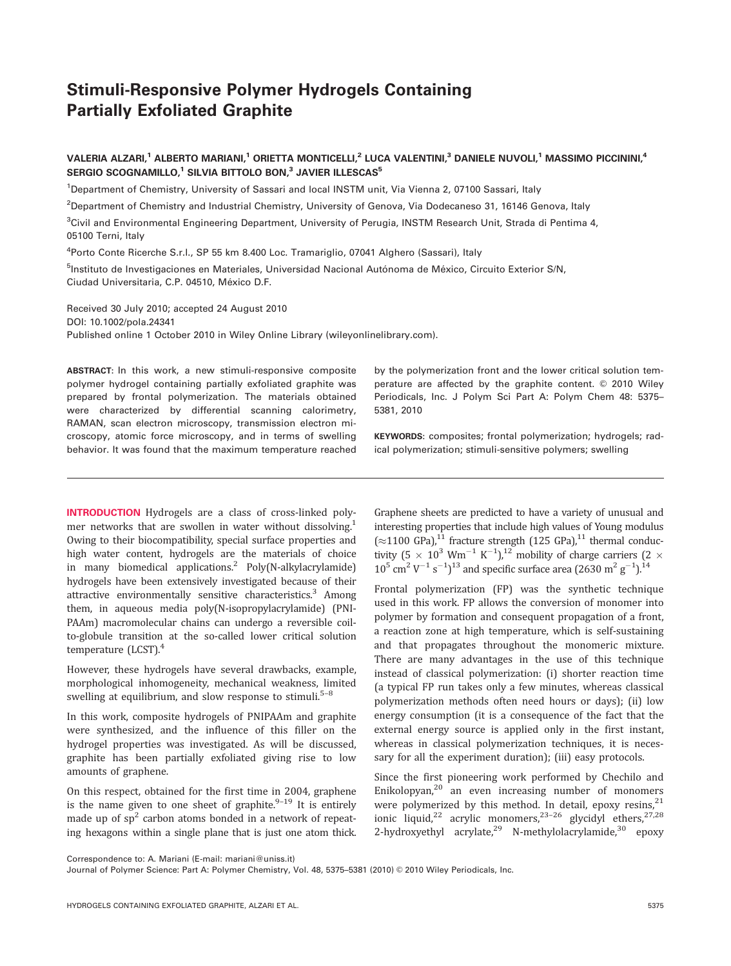# Stimuli-Responsive Polymer Hydrogels Containing Partially Exfoliated Graphite

## VALERIA ALZARI,<sup>1</sup> ALBERTO MARIANI,<sup>1</sup> ORIETTA MONTICELLI,<sup>2</sup> LUCA VALENTINI,<sup>3</sup> DANIELE NUVOLI,<sup>1</sup> MASSIMO PICCININI,<sup>4</sup> SERGIO SCOGNAMILLO,<sup>1</sup> SILVIA BITTOLO BON,<sup>3</sup> JAVIER ILLESCAS<sup>5</sup>

<sup>1</sup>Department of Chemistry, University of Sassari and local INSTM unit, Via Vienna 2, 07100 Sassari, Italy

2 Department of Chemistry and Industrial Chemistry, University of Genova, Via Dodecaneso 31, 16146 Genova, Italy

<sup>3</sup>Civil and Environmental Engineering Department, University of Perugia, INSTM Research Unit, Strada di Pentima 4, 05100 Terni, Italy

<sup>4</sup>Porto Conte Ricerche S.r.l., SP 55 km 8.400 Loc. Tramariglio, 07041 Alghero (Sassari), Italy

<sup>5</sup>Instituto de Investigaciones en Materiales, Universidad Nacional Autónoma de México, Circuito Exterior S/N, Ciudad Universitaria, C.P. 04510, México D.F.

Received 30 July 2010; accepted 24 August 2010 DOI: 10.1002/pola.24341 Published online 1 October 2010 in Wiley Online Library (wileyonlinelibrary.com).

ABSTRACT: In this work, a new stimuli-responsive composite polymer hydrogel containing partially exfoliated graphite was prepared by frontal polymerization. The materials obtained were characterized by differential scanning calorimetry, RAMAN, scan electron microscopy, transmission electron microscopy, atomic force microscopy, and in terms of swelling behavior. It was found that the maximum temperature reached

INTRODUCTION Hydrogels are a class of cross-linked polymer networks that are swollen in water without dissolving.<sup>1</sup> Owing to their biocompatibility, special surface properties and high water content, hydrogels are the materials of choice in many biomedical applications.<sup>2</sup> Poly(N-alkylacrylamide) hydrogels have been extensively investigated because of their attractive environmentally sensitive characteristics.<sup>3</sup> Among them, in aqueous media poly(N-isopropylacrylamide) (PNI-PAAm) macromolecular chains can undergo a reversible coilto-globule transition at the so-called lower critical solution temperature (LCST).<sup>4</sup>

However, these hydrogels have several drawbacks, example, morphological inhomogeneity, mechanical weakness, limited swelling at equilibrium, and slow response to stimuli.<sup>5–8</sup>

In this work, composite hydrogels of PNIPAAm and graphite were synthesized, and the influence of this filler on the hydrogel properties was investigated. As will be discussed, graphite has been partially exfoliated giving rise to low amounts of graphene.

On this respect, obtained for the first time in 2004, graphene is the name given to one sheet of graphite.<sup>9–19</sup> It is entirely made up of  $sp<sup>2</sup>$  carbon atoms bonded in a network of repeating hexagons within a single plane that is just one atom thick.

by the polymerization front and the lower critical solution temperature are affected by the graphite content. © 2010 Wiley Periodicals, Inc. J Polym Sci Part A: Polym Chem 48: 5375– 5381, 2010

KEYWORDS: composites; frontal polymerization; hydrogels; radical polymerization; stimuli-sensitive polymers; swelling

Graphene sheets are predicted to have a variety of unusual and interesting properties that include high values of Young modulus  $(\approx 1100 \text{ GPa})$ ,<sup>11</sup> fracture strength (125 GPa),<sup>11</sup> thermal conductivity  $(5 \times 10^3 \text{ Wm}^{-1} \text{ K}^{-1})$ ,<sup>12</sup> mobility of charge carriers  $(2 \times$  $10^5$  cm<sup>2</sup> V<sup>-1</sup> s<sup>-1</sup>)<sup>13</sup> and specific surface area (2630 m<sup>2</sup> g<sup>-1</sup>).<sup>14</sup>

Frontal polymerization (FP) was the synthetic technique used in this work. FP allows the conversion of monomer into polymer by formation and consequent propagation of a front, a reaction zone at high temperature, which is self-sustaining and that propagates throughout the monomeric mixture. There are many advantages in the use of this technique instead of classical polymerization: (i) shorter reaction time (a typical FP run takes only a few minutes, whereas classical polymerization methods often need hours or days); (ii) low energy consumption (it is a consequence of the fact that the external energy source is applied only in the first instant, whereas in classical polymerization techniques, it is necessary for all the experiment duration); (iii) easy protocols.

Since the first pioneering work performed by Chechilo and Enikolopyan, $^{20}$  an even increasing number of monomers were polymerized by this method. In detail, epoxy resins,  $21$ ionic liquid,<sup>22</sup> acrylic monomers,<sup>23-26</sup> glycidyl ethers,<sup>27,28</sup> 2-hydroxyethyl acrylate, $2^9$  N-methylolacrylamide, $30$  epoxy

Correspondence to: A. Mariani (E-mail: mariani@uniss.it)

Journal of Polymer Science: Part A: Polymer Chemistry, Vol. 48, 5375-5381 (2010) © 2010 Wiley Periodicals, Inc.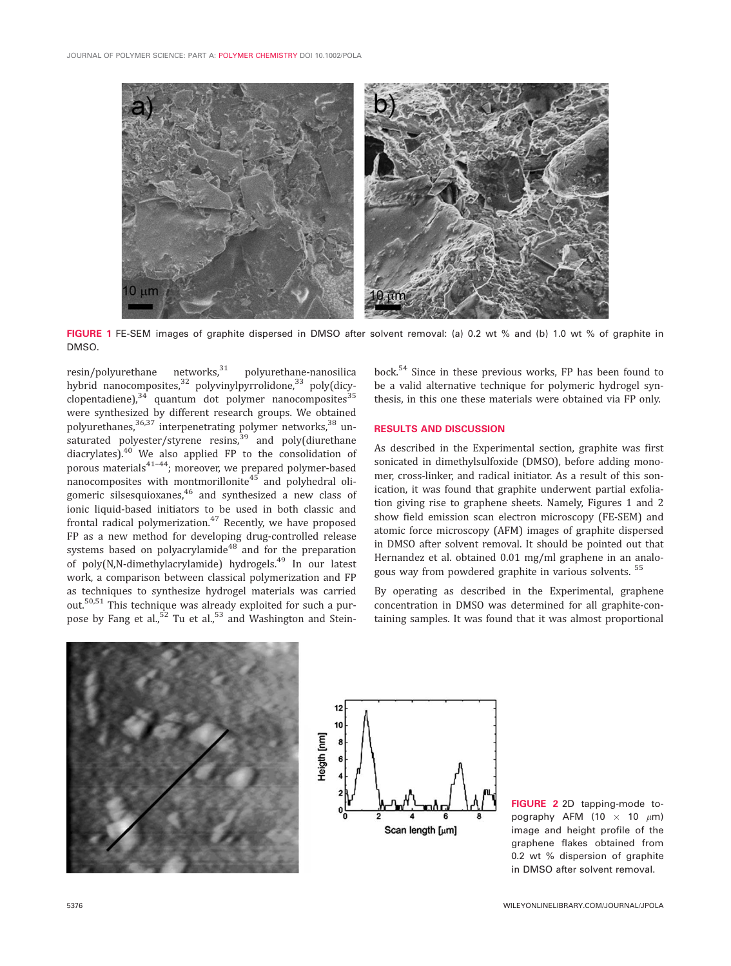

FIGURE 1 FE-SEM images of graphite dispersed in DMSO after solvent removal: (a) 0.2 wt % and (b) 1.0 wt % of graphite in DMSO.

resin/polyurethane networks,<sup>31</sup> polyurethane-nanosilica hybrid nanocomposites,<sup>32</sup> polyvinylpyrrolidone,<sup>33</sup> poly(dicyclopentadiene), $34$  quantum dot polymer nanocomposites $35$ were synthesized by different research groups. We obtained polyurethanes,<sup>36,37</sup> interpenetrating polymer networks,<sup>38</sup> unsaturated polyester/styrene resins,<sup>39</sup> and poly(diurethane diacrylates).40 We also applied FP to the consolidation of porous materials<sup>41-44</sup>; moreover, we prepared polymer-based nanocomposites with montmorillonite<sup>45</sup> and polyhedral oligomeric silsesquioxanes, $46$  and synthesized a new class of ionic liquid-based initiators to be used in both classic and frontal radical polymerization. $47$  Recently, we have proposed FP as a new method for developing drug-controlled release systems based on polyacrylamide<sup>48</sup> and for the preparation of poly(N,N-dimethylacrylamide) hydrogels.<sup>49</sup> In our latest work, a comparison between classical polymerization and FP as techniques to synthesize hydrogel materials was carried out.50,51 This technique was already exploited for such a purpose by Fang et al., $52$  Tu et al., $53$  and Washington and Stein-

bock.<sup>54</sup> Since in these previous works, FP has been found to be a valid alternative technique for polymeric hydrogel synthesis, in this one these materials were obtained via FP only.

#### RESULTS AND DISCUSSION

As described in the Experimental section, graphite was first sonicated in dimethylsulfoxide (DMSO), before adding monomer, cross-linker, and radical initiator. As a result of this sonication, it was found that graphite underwent partial exfoliation giving rise to graphene sheets. Namely, Figures 1 and 2 show field emission scan electron microscopy (FE-SEM) and atomic force microscopy (AFM) images of graphite dispersed in DMSO after solvent removal. It should be pointed out that Hernandez et al. obtained 0.01 mg/ml graphene in an analogous way from powdered graphite in various solvents.<sup>55</sup>

By operating as described in the Experimental, graphene concentration in DMSO was determined for all graphite-containing samples. It was found that it was almost proportional





FIGURE 2 2D tapping-mode topography AFM (10  $\times$  10  $\mu$ m) image and height profile of the graphene flakes obtained from 0.2 wt % dispersion of graphite in DMSO after solvent removal.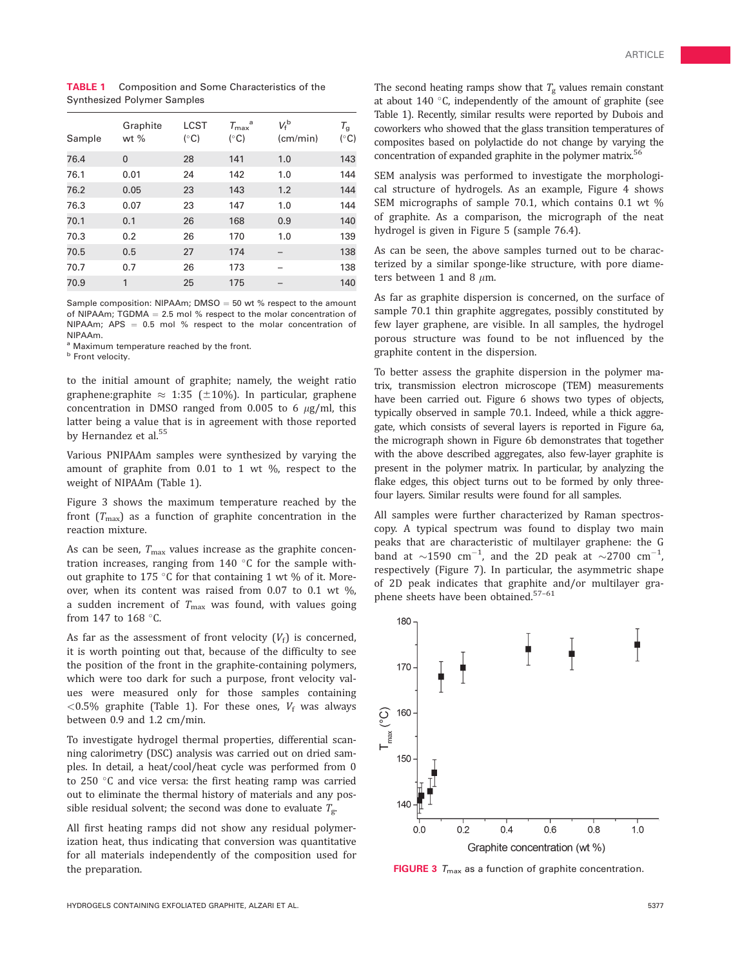| Sample | Graphite<br>wt $%$ | <b>LCST</b><br>$(^{\circ}C)$ | $T_{\rm max}$ <sup>a</sup><br>$(^{\circ}C)$ | $V_{\text{f}}^{\text{b}}$<br>(cm/min) | $\tau_{\mathsf{g}}$<br>$(^{\circ}C)$ |
|--------|--------------------|------------------------------|---------------------------------------------|---------------------------------------|--------------------------------------|
| 76.4   | $\Omega$           | 28                           | 141                                         | 1.0                                   | 143                                  |
| 76.1   | 0.01               | 24                           | 142                                         | 1.0                                   | 144                                  |
| 76.2   | 0.05               | 23                           | 143                                         | 1.2                                   | 144                                  |
| 76.3   | 0.07               | 23                           | 147                                         | 1.0                                   | 144                                  |
| 70.1   | 0.1                | 26                           | 168                                         | 0.9                                   | 140                                  |
| 70.3   | 0.2                | 26                           | 170                                         | 1.0                                   | 139                                  |
| 70.5   | 0.5                | 27                           | 174                                         |                                       | 138                                  |
| 70.7   | 0.7                | 26                           | 173                                         |                                       | 138                                  |
| 70.9   | 1                  | 25                           | 175                                         |                                       | 140                                  |

TABLE 1 Composition and Some Characteristics of the Synthesized Polymer Samples

Sample composition: NIPAAm; DMSO  $=$  50 wt % respect to the amount of NIPAAm; TGDMA  $= 2.5$  mol % respect to the molar concentration of NIPAAm; APS  $= 0.5$  mol % respect to the molar concentration of NIPAAm.

<sup>a</sup> Maximum temperature reached by the front.

**b** Front velocity.

to the initial amount of graphite; namely, the weight ratio graphene: graphite  $\approx 1:35$  ( $\pm 10\%$ ). In particular, graphene concentration in DMSO ranged from  $0.005$  to 6  $\mu$ g/ml, this latter being a value that is in agreement with those reported by Hernandez et al.<sup>55</sup>

Various PNIPAAm samples were synthesized by varying the amount of graphite from 0.01 to 1 wt %, respect to the weight of NIPAAm (Table 1).

Figure 3 shows the maximum temperature reached by the front  $(T_{\text{max}})$  as a function of graphite concentration in the reaction mixture.

As can be seen,  $T_{\text{max}}$  values increase as the graphite concentration increases, ranging from 140  $\degree$ C for the sample without graphite to 175 °C for that containing 1 wt % of it. Moreover, when its content was raised from 0.07 to 0.1 wt %, a sudden increment of  $T_{\text{max}}$  was found, with values going from 147 to 168  $\degree$ C.

As far as the assessment of front velocity  $(V_f)$  is concerned, it is worth pointing out that, because of the difficulty to see the position of the front in the graphite-containing polymers, which were too dark for such a purpose, front velocity values were measured only for those samples containing <0.5% graphite (Table 1). For these ones,  $V_f$  was always between 0.9 and 1.2 cm/min.

To investigate hydrogel thermal properties, differential scanning calorimetry (DSC) analysis was carried out on dried samples. In detail, a heat/cool/heat cycle was performed from 0 to 250  $\degree$ C and vice versa: the first heating ramp was carried out to eliminate the thermal history of materials and any possible residual solvent; the second was done to evaluate  $T_{\rm g}$ .

All first heating ramps did not show any residual polymerization heat, thus indicating that conversion was quantitative for all materials independently of the composition used for the preparation.

SEM analysis was performed to investigate the morphological structure of hydrogels. As an example, Figure 4 shows SEM micrographs of sample 70.1, which contains 0.1 wt % of graphite. As a comparison, the micrograph of the neat hydrogel is given in Figure 5 (sample 76.4).

As can be seen, the above samples turned out to be characterized by a similar sponge-like structure, with pore diameters between 1 and 8  $\mu$ m.

As far as graphite dispersion is concerned, on the surface of sample 70.1 thin graphite aggregates, possibly constituted by few layer graphene, are visible. In all samples, the hydrogel porous structure was found to be not influenced by the graphite content in the dispersion.

To better assess the graphite dispersion in the polymer matrix, transmission electron microscope (TEM) measurements have been carried out. Figure 6 shows two types of objects, typically observed in sample 70.1. Indeed, while a thick aggregate, which consists of several layers is reported in Figure 6a, the micrograph shown in Figure 6b demonstrates that together with the above described aggregates, also few-layer graphite is present in the polymer matrix. In particular, by analyzing the flake edges, this object turns out to be formed by only threefour layers. Similar results were found for all samples.

All samples were further characterized by Raman spectroscopy. A typical spectrum was found to display two main peaks that are characteristic of multilayer graphene: the G band at  $\sim$ 1590 cm<sup>-1</sup>, and the 2D peak at  $\sim$ 2700 cm<sup>-1</sup> , respectively (Figure 7). In particular, the asymmetric shape of 2D peak indicates that graphite and/or multilayer graphene sheets have been obtained.57–61



**FIGURE 3**  $T_{\text{max}}$  as a function of graphite concentration.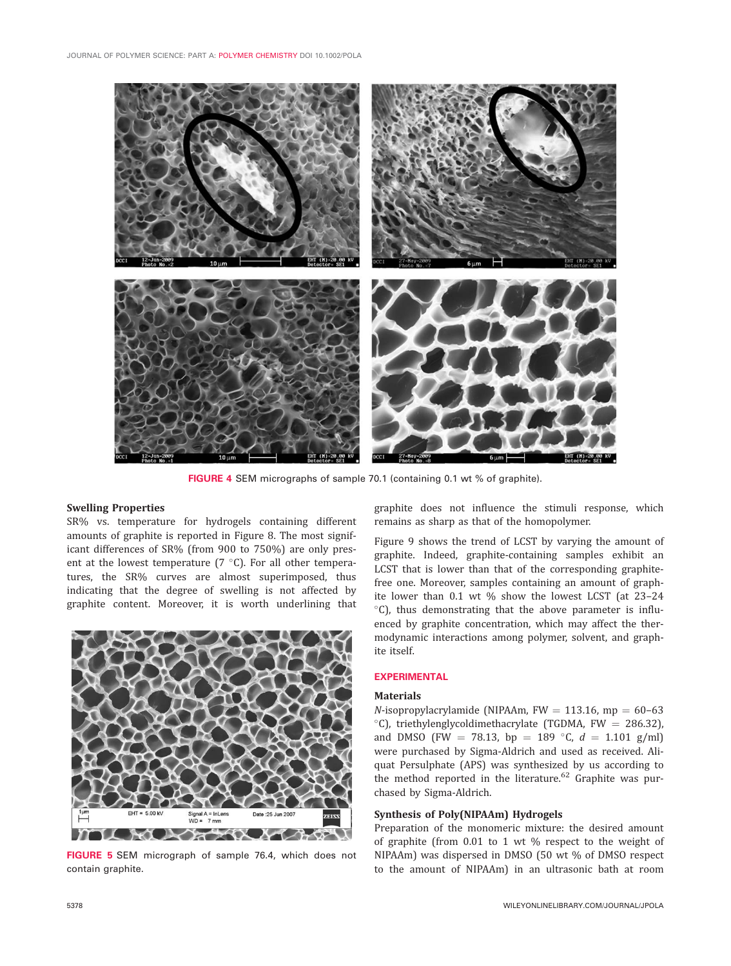

FIGURE 4 SEM micrographs of sample 70.1 (containing 0.1 wt % of graphite).

#### Swelling Properties

SR% vs. temperature for hydrogels containing different amounts of graphite is reported in Figure 8. The most significant differences of SR% (from 900 to 750%) are only present at the lowest temperature ( $7^{\circ}$ C). For all other temperatures, the SR% curves are almost superimposed, thus indicating that the degree of swelling is not affected by graphite content. Moreover, it is worth underlining that



FIGURE 5 SEM micrograph of sample 76.4, which does not contain graphite.

graphite does not influence the stimuli response, which remains as sharp as that of the homopolymer.

Figure 9 shows the trend of LCST by varying the amount of graphite. Indeed, graphite-containing samples exhibit an LCST that is lower than that of the corresponding graphitefree one. Moreover, samples containing an amount of graphite lower than 0.1 wt % show the lowest LCST (at 23–24  $°C$ ), thus demonstrating that the above parameter is influenced by graphite concentration, which may affect the thermodynamic interactions among polymer, solvent, and graphite itself.

#### EXPERIMENTAL

### **Materials**

 $N$ -isopropylacrylamide (NIPAAm, FW = 113.16, mp = 60-63  $°C$ ), triethylenglycoldimethacrylate (TGDMA, FW = 286.32), and DMSO (FW = 78.13, bp = 189 °C,  $d = 1.101$  g/ml) were purchased by Sigma-Aldrich and used as received. Aliquat Persulphate (APS) was synthesized by us according to the method reported in the literature. $62$  Graphite was purchased by Sigma-Aldrich.

## Synthesis of Poly(NIPAAm) Hydrogels

Preparation of the monomeric mixture: the desired amount of graphite (from 0.01 to 1 wt % respect to the weight of NIPAAm) was dispersed in DMSO (50 wt % of DMSO respect to the amount of NIPAAm) in an ultrasonic bath at room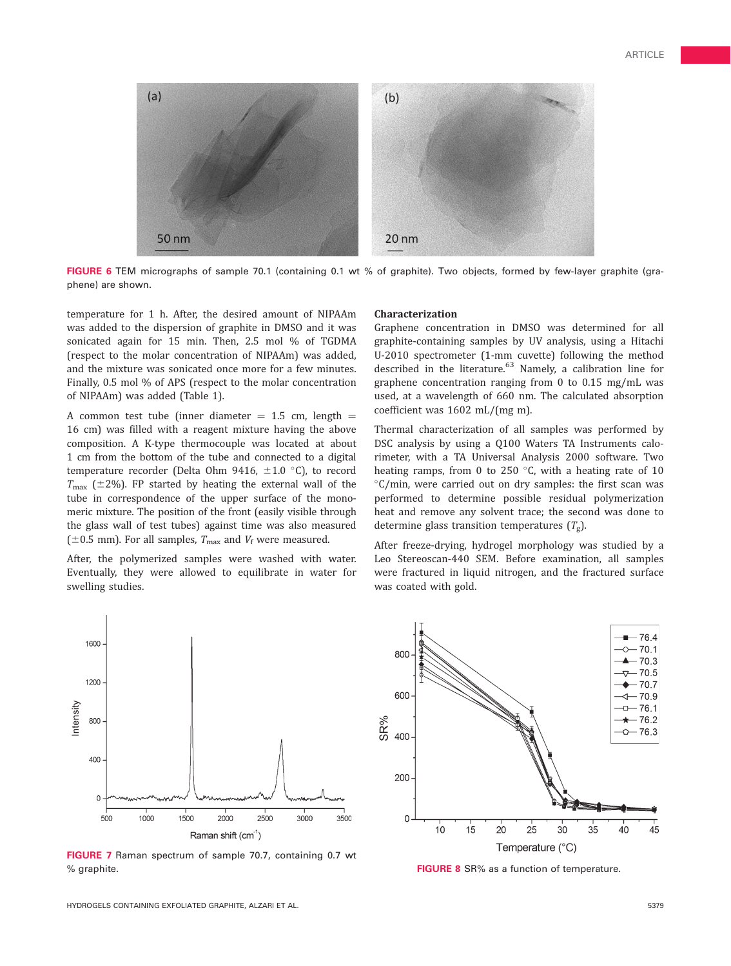

FIGURE 6 TEM micrographs of sample 70.1 (containing 0.1 wt % of graphite). Two objects, formed by few-layer graphite (graphene) are shown.

temperature for 1 h. After, the desired amount of NIPAAm was added to the dispersion of graphite in DMSO and it was sonicated again for 15 min. Then, 2.5 mol % of TGDMA (respect to the molar concentration of NIPAAm) was added, and the mixture was sonicated once more for a few minutes. Finally, 0.5 mol % of APS (respect to the molar concentration of NIPAAm) was added (Table 1).

A common test tube (inner diameter  $= 1.5$  cm, length  $=$ 16 cm) was filled with a reagent mixture having the above composition. A K-type thermocouple was located at about 1 cm from the bottom of the tube and connected to a digital temperature recorder (Delta Ohm 9416,  $\pm 1.0$  °C), to record  $T_{\text{max}}$  ( $\pm$ 2%). FP started by heating the external wall of the tube in correspondence of the upper surface of the monomeric mixture. The position of the front (easily visible through the glass wall of test tubes) against time was also measured ( $\pm$ 0.5 mm). For all samples,  $T_{\text{max}}$  and  $V_{\text{f}}$  were measured.

After, the polymerized samples were washed with water. Eventually, they were allowed to equilibrate in water for swelling studies.



Graphene concentration in DMSO was determined for all graphite-containing samples by UV analysis, using a Hitachi U-2010 spectrometer (1-mm cuvette) following the method described in the literature. $63$  Namely, a calibration line for graphene concentration ranging from 0 to 0.15 mg/mL was used, at a wavelength of 660 nm. The calculated absorption coefficient was 1602 mL/(mg m).

Thermal characterization of all samples was performed by DSC analysis by using a Q100 Waters TA Instruments calorimeter, with a TA Universal Analysis 2000 software. Two heating ramps, from 0 to 250  $\degree$ C, with a heating rate of 10  $\mathrm{C}/\mathrm{min}$ , were carried out on dry samples: the first scan was performed to determine possible residual polymerization heat and remove any solvent trace; the second was done to determine glass transition temperatures  $(T_g)$ .

After freeze-drying, hydrogel morphology was studied by a Leo Stereoscan-440 SEM. Before examination, all samples were fractured in liquid nitrogen, and the fractured surface was coated with gold.



FIGURE 7 Raman spectrum of sample 70.7, containing 0.7 wt % graphite. The state of temperature. The state of temperature of temperature. The state of temperature.

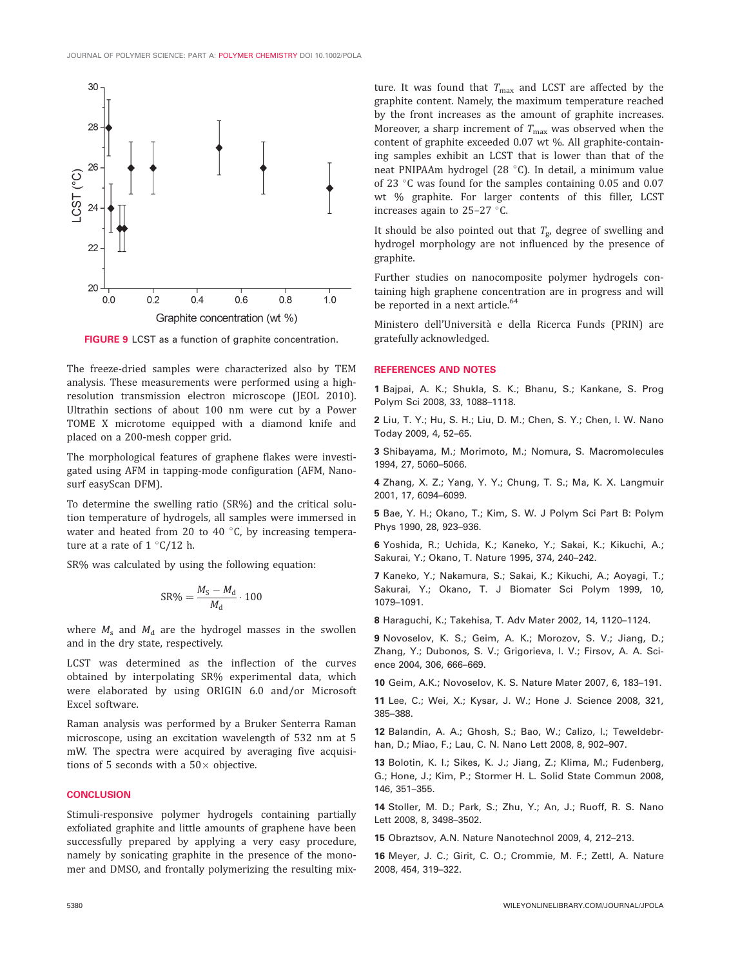

FIGURE 9 LCST as a function of graphite concentration.

The freeze-dried samples were characterized also by TEM analysis. These measurements were performed using a highresolution transmission electron microscope (JEOL 2010). Ultrathin sections of about 100 nm were cut by a Power TOME X microtome equipped with a diamond knife and placed on a 200-mesh copper grid.

The morphological features of graphene flakes were investigated using AFM in tapping-mode configuration (AFM, Nanosurf easyScan DFM).

To determine the swelling ratio (SR%) and the critical solution temperature of hydrogels, all samples were immersed in water and heated from 20 to 40 $\degree$ C, by increasing temperature at a rate of  $1 \degree C/12$  h.

SR% was calculated by using the following equation:

$$
\text{SR\%} = \frac{M_\text{S} - M_\text{d}}{M_\text{d}} \cdot 100
$$

where  $M_s$  and  $M_d$  are the hydrogel masses in the swollen and in the dry state, respectively.

LCST was determined as the inflection of the curves obtained by interpolating SR% experimental data, which were elaborated by using ORIGIN 6.0 and/or Microsoft Excel software.

Raman analysis was performed by a Bruker Senterra Raman microscope, using an excitation wavelength of 532 nm at 5 mW. The spectra were acquired by averaging five acquisitions of 5 seconds with a  $50\times$  objective.

#### **CONCLUSION**

Stimuli-responsive polymer hydrogels containing partially exfoliated graphite and little amounts of graphene have been successfully prepared by applying a very easy procedure, namely by sonicating graphite in the presence of the monomer and DMSO, and frontally polymerizing the resulting mix-

ture. It was found that  $T_{\text{max}}$  and LCST are affected by the graphite content. Namely, the maximum temperature reached by the front increases as the amount of graphite increases. Moreover, a sharp increment of  $T_{\text{max}}$  was observed when the content of graphite exceeded 0.07 wt %. All graphite-containing samples exhibit an LCST that is lower than that of the neat PNIPAAm hydrogel (28 °C). In detail, a minimum value of 23  $\degree$ C was found for the samples containing 0.05 and 0.07 wt % graphite. For larger contents of this filler, LCST increases again to  $25-27$  °C.

It should be also pointed out that  $T_{\rm g}$ , degree of swelling and hydrogel morphology are not influenced by the presence of graphite.

Further studies on nanocomposite polymer hydrogels containing high graphene concentration are in progress and will be reported in a next article.<sup>64</sup>

Ministero dell'Universita` e della Ricerca Funds (PRIN) are gratefully acknowledged.

#### REFERENCES AND NOTES

1 Bajpai, A. K.; Shukla, S. K.; Bhanu, S.; Kankane, S. Prog Polym Sci 2008, 33, 1088–1118.

2 Liu, T. Y.; Hu, S. H.; Liu, D. M.; Chen, S. Y.; Chen, I. W. Nano Today 2009, 4, 52–65.

3 Shibayama, M.; Morimoto, M.; Nomura, S. Macromolecules 1994, 27, 5060–5066.

4 Zhang, X. Z.; Yang, Y. Y.; Chung, T. S.; Ma, K. X. Langmuir 2001, 17, 6094–6099.

5 Bae, Y. H.; Okano, T.; Kim, S. W. J Polym Sci Part B: Polym Phys 1990, 28, 923–936.

6 Yoshida, R.; Uchida, K.; Kaneko, Y.; Sakai, K.; Kikuchi, A.; Sakurai, Y.; Okano, T. Nature 1995, 374, 240–242.

7 Kaneko, Y.; Nakamura, S.; Sakai, K.; Kikuchi, A.; Aoyagi, T.; Sakurai, Y.; Okano, T. J Biomater Sci Polym 1999, 10, 1079–1091.

8 Haraguchi, K.; Takehisa, T. Adv Mater 2002, 14, 1120–1124.

9 Novoselov, K. S.; Geim, A. K.; Morozov, S. V.; Jiang, D.; Zhang, Y.; Dubonos, S. V.; Grigorieva, I. V.; Firsov, A. A. Science 2004, 306, 666–669.

10 Geim, A.K.; Novoselov, K. S. Nature Mater 2007, 6, 183–191.

11 Lee, C.; Wei, X.; Kysar, J. W.; Hone J. Science 2008, 321, 385–388.

12 Balandin, A. A.; Ghosh, S.; Bao, W.; Calizo, I.; Teweldebrhan, D.; Miao, F.; Lau, C. N. Nano Lett 2008, 8, 902–907.

13 Bolotin, K. I.; Sikes, K. J.; Jiang, Z.; Klima, M.; Fudenberg, G.; Hone, J.; Kim, P.; Stormer H. L. Solid State Commun 2008, 146, 351–355.

14 Stoller, M. D.; Park, S.; Zhu, Y.; An, J.; Ruoff, R. S. Nano Lett 2008, 8, 3498–3502.

15 Obraztsov, A.N. Nature Nanotechnol 2009, 4, 212–213.

16 Meyer, J. C.; Girit, C. O.; Crommie, M. F.; Zettl, A. Nature 2008, 454, 319–322.